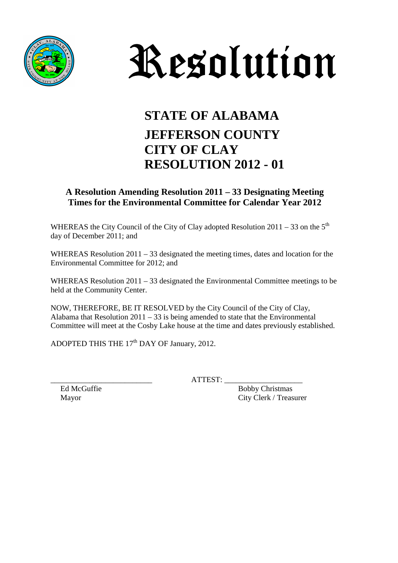



## **STATE OF ALABAMA JEFFERSON COUNTY CITY OF CLAY RESOLUTION 2012 - 01**

## **A Resolution Amending Resolution 2011 – 33 Designating Meeting Times for the Environmental Committee for Calendar Year 2012**

WHEREAS the City Council of the City of Clay adopted Resolution  $2011 - 33$  on the  $5<sup>th</sup>$ day of December 2011; and

WHEREAS Resolution 2011 – 33 designated the meeting times, dates and location for the Environmental Committee for 2012; and

WHEREAS Resolution 2011 – 33 designated the Environmental Committee meetings to be held at the Community Center.

NOW, THEREFORE, BE IT RESOLVED by the City Council of the City of Clay, Alabama that Resolution  $2011 - 33$  is being amended to state that the Environmental Committee will meet at the Cosby Lake house at the time and dates previously established.

ADOPTED THIS THE 17<sup>th</sup> DAY OF January, 2012.

 $ATTEST:$ 

Ed McGuffie Bobby Christmas Mayor City Clerk / Treasurer